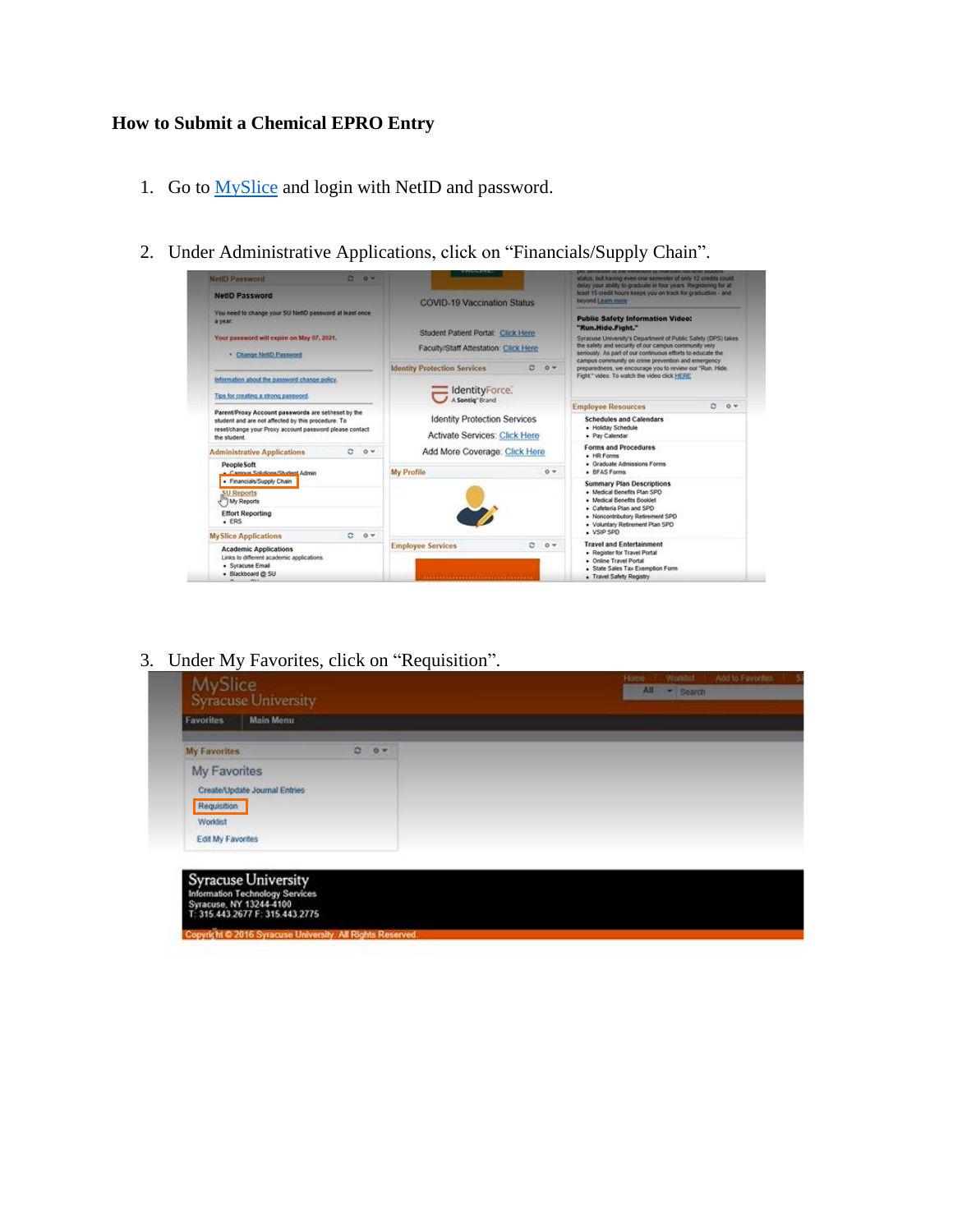## **How to Submit a Chemical EPRO Entry**

- 1. Go to [MySlice](https://myslice.ps.syr.edu/) and login with NetID and password.
- 2. Under Administrative Applications, click on "Financials/Supply Chain".



3. Under My Favorites, click on "Requisition".

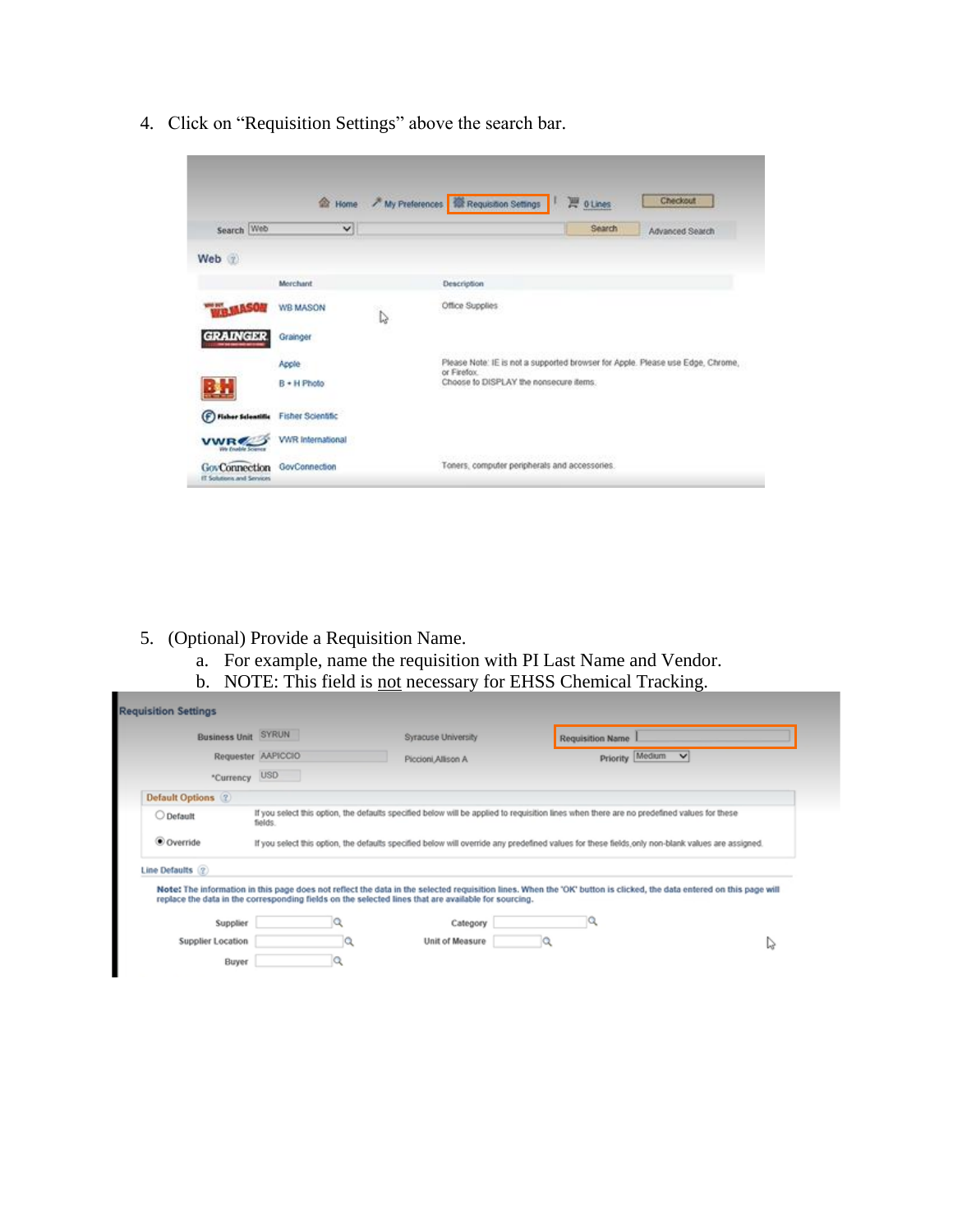|                                                   | <b>Re</b> Home           |              | Checkout<br>My Preferences <b>Requisition Settings</b><br>P othes                             |
|---------------------------------------------------|--------------------------|--------------|-----------------------------------------------------------------------------------------------|
| Search Web                                        | $\checkmark$             |              | Search<br>Advanced Search                                                                     |
| Web 7                                             |                          |              |                                                                                               |
|                                                   | Merchant                 |              | Description                                                                                   |
|                                                   | <b>WB MASON</b>          | $\mathbb{Q}$ | Office Supplies                                                                               |
| GRAINGER                                          | Grainger                 |              |                                                                                               |
|                                                   | Apple                    |              | Please Note: IE is not a supported browser for Apple. Please use Edge, Chrome,<br>or Firefox. |
|                                                   | B + H Photo              |              | Choose to DISPLAY the nonsecure items:                                                        |
| (F) Fisher Scientific                             | <b>Fisher Scientific</b> |              |                                                                                               |
| <b>VWR</b><br>We Enable Science                   | <b>VWR</b> International |              |                                                                                               |
| <b>GovConnection</b><br>IT Solutions and Services | GovConnection            |              | 50523 ARG 505 AD 000<br>Toners, computer peripherals and accessories.                         |

4. Click on "Requisition Settings" above the search bar.

- 5. (Optional) Provide a Requisition Name.
	- a. For example, name the requisition with PI Last Name and Vendor.
	- b. NOTE: This field is <u>not</u> necessary for EHSS Chemical Tracking.

|                     | Business Unit SYRUN | Syracuse University                                                                                                                                                                                                                                                        | <b>Requisition Name</b>                                                                                                                           |  |
|---------------------|---------------------|----------------------------------------------------------------------------------------------------------------------------------------------------------------------------------------------------------------------------------------------------------------------------|---------------------------------------------------------------------------------------------------------------------------------------------------|--|
|                     | Requester AAPICCIO  | Piccioni, Allison A                                                                                                                                                                                                                                                        | Priority Medium<br>$\checkmark$                                                                                                                   |  |
| *Currency           | <b>USD</b>          |                                                                                                                                                                                                                                                                            |                                                                                                                                                   |  |
| Default Options (2) |                     |                                                                                                                                                                                                                                                                            |                                                                                                                                                   |  |
| O Default           | fields.             | If you select this option, the defaults specified below will be applied to requisition lines when there are no predefined values for these                                                                                                                                 |                                                                                                                                                   |  |
| C Override          |                     |                                                                                                                                                                                                                                                                            | If you select this option, the defaults specified below will override any predefined values for these fields, only non-blank values are assigned. |  |
|                     |                     |                                                                                                                                                                                                                                                                            |                                                                                                                                                   |  |
| Line Defaults (2)   |                     |                                                                                                                                                                                                                                                                            |                                                                                                                                                   |  |
|                     |                     | Note: The information in this page does not reflect the data in the selected requisition lines. When the 'OK' button is clicked, the data entered on this page will<br>replace the data in the corresponding fields on the selected lines that are available for sourcing. |                                                                                                                                                   |  |
| Supplier            |                     | Category                                                                                                                                                                                                                                                                   | ч                                                                                                                                                 |  |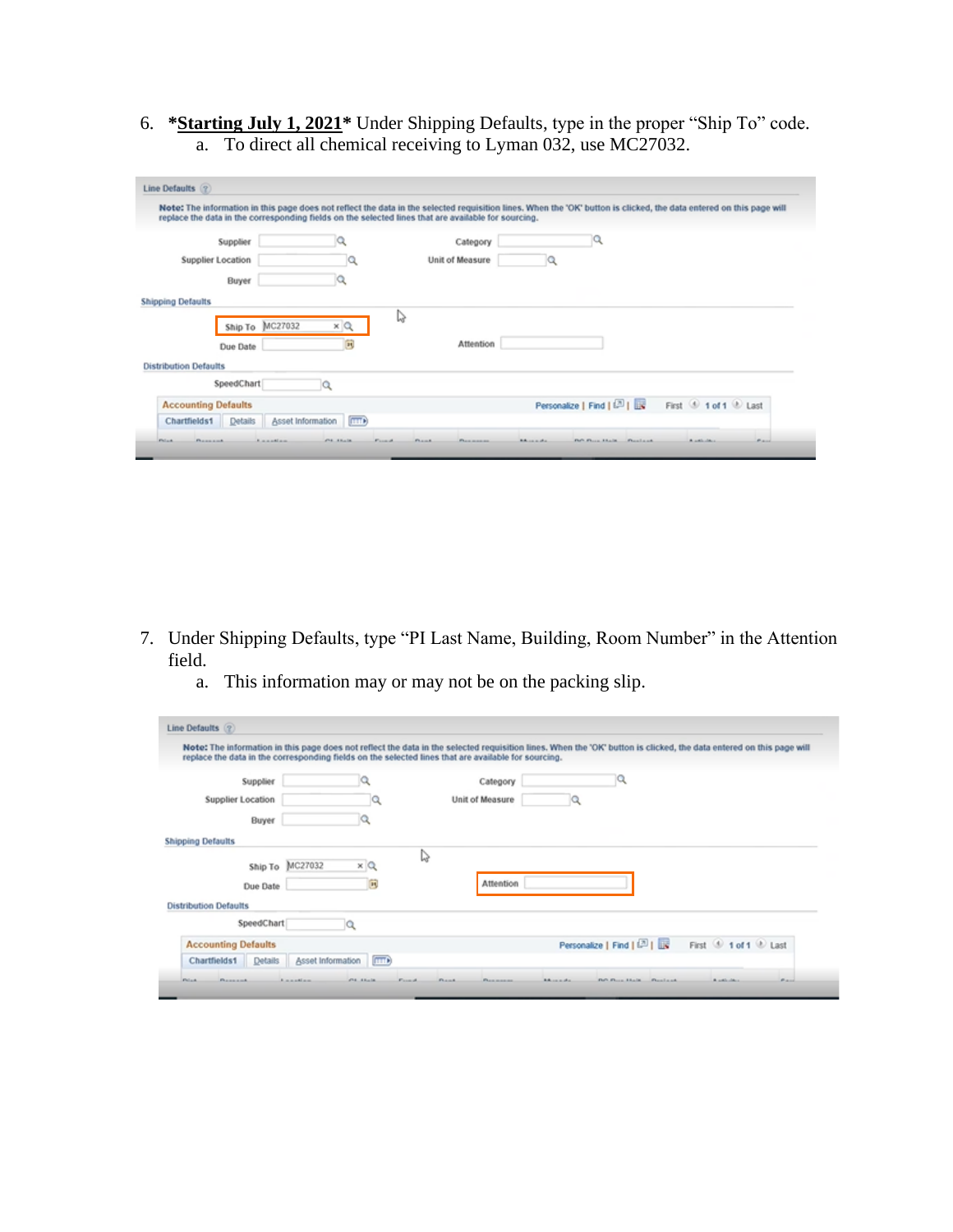6. **\*Starting July 1, 2021\*** Under Shipping Defaults, type in the proper "Ship To" code. a. To direct all chemical receiving to Lyman 032, use MC27032.

| Line Defaults (?)                                            |                                                        | replace the data in the corresponding fields on the selected lines that are available for sourcing. | Note: The information in this page does not reflect the data in the selected requisition lines. When the 'OK' button is clicked, the data entered on this page will |                         |
|--------------------------------------------------------------|--------------------------------------------------------|-----------------------------------------------------------------------------------------------------|---------------------------------------------------------------------------------------------------------------------------------------------------------------------|-------------------------|
| Supplier                                                     |                                                        | Category                                                                                            | ч                                                                                                                                                                   |                         |
| <b>Supplier Location</b>                                     |                                                        | Unit of Measure                                                                                     |                                                                                                                                                                     |                         |
| Buyer                                                        |                                                        |                                                                                                     |                                                                                                                                                                     |                         |
| <b>Shipping Defaults</b><br>Ship To MC27032<br>Due Date      | ×<br>a<br>寅                                            | IJ<br>Attention                                                                                     |                                                                                                                                                                     |                         |
| <b>Distribution Defaults</b>                                 |                                                        |                                                                                                     |                                                                                                                                                                     |                         |
| SpeedChart                                                   |                                                        |                                                                                                     |                                                                                                                                                                     |                         |
| <b>Accounting Defaults</b><br>Chartfields1<br><b>Details</b> | Asset Information [TTT)                                |                                                                                                     | Personalize   Find   (2)                                                                                                                                            | First 1 of 1 D Last     |
| <b>Fielant</b><br><b>Photograph</b>                          | <b>STATISTICS</b><br><b>Formula</b><br><b>Kanadian</b> | <b>FRAME</b><br><b>Phone in a manus</b>                                                             | <b>RAILER</b><br>Flatt Floors, Atlanta.<br><b>Phone Law and</b>                                                                                                     | Barnet.<br>A solicition |

- 7. Under Shipping Defaults, type "PI Last Name, Building, Room Number" in the Attention field.
	- a. This information may or may not be on the packing slip.

| replace the data in the corresponding fields on the selected lines that are available for sourcing. |                   |                 |                 |                          | Note: The information in this page does not reflect the data in the selected requisition lines. When the 'OK' button is clicked, the data entered on this page will |
|-----------------------------------------------------------------------------------------------------|-------------------|-----------------|-----------------|--------------------------|---------------------------------------------------------------------------------------------------------------------------------------------------------------------|
| Supplier                                                                                            |                   |                 | Category        |                          |                                                                                                                                                                     |
| <b>Supplier Location</b>                                                                            |                   |                 | Unit of Measure |                          |                                                                                                                                                                     |
| Buyer                                                                                               |                   |                 |                 |                          |                                                                                                                                                                     |
| <b>Shipping Defaults</b>                                                                            |                   |                 |                 |                          |                                                                                                                                                                     |
| Ship To                                                                                             | MC27032<br>хQ     | Ιè              |                 |                          |                                                                                                                                                                     |
| Due Date                                                                                            |                   | 同               | Attention       |                          |                                                                                                                                                                     |
| <b>Distribution Defaults</b>                                                                        |                   |                 |                 |                          |                                                                                                                                                                     |
| SpeedChart                                                                                          |                   |                 |                 |                          |                                                                                                                                                                     |
| <b>Accounting Defaults</b>                                                                          |                   |                 |                 | Personalize   Find   (2) | First <sup>5</sup> 1 of 1 <sup>0</sup> Last                                                                                                                         |
| <b>Details</b><br>Chartfields1                                                                      | Asset Information | mm <sup>3</sup> |                 |                          |                                                                                                                                                                     |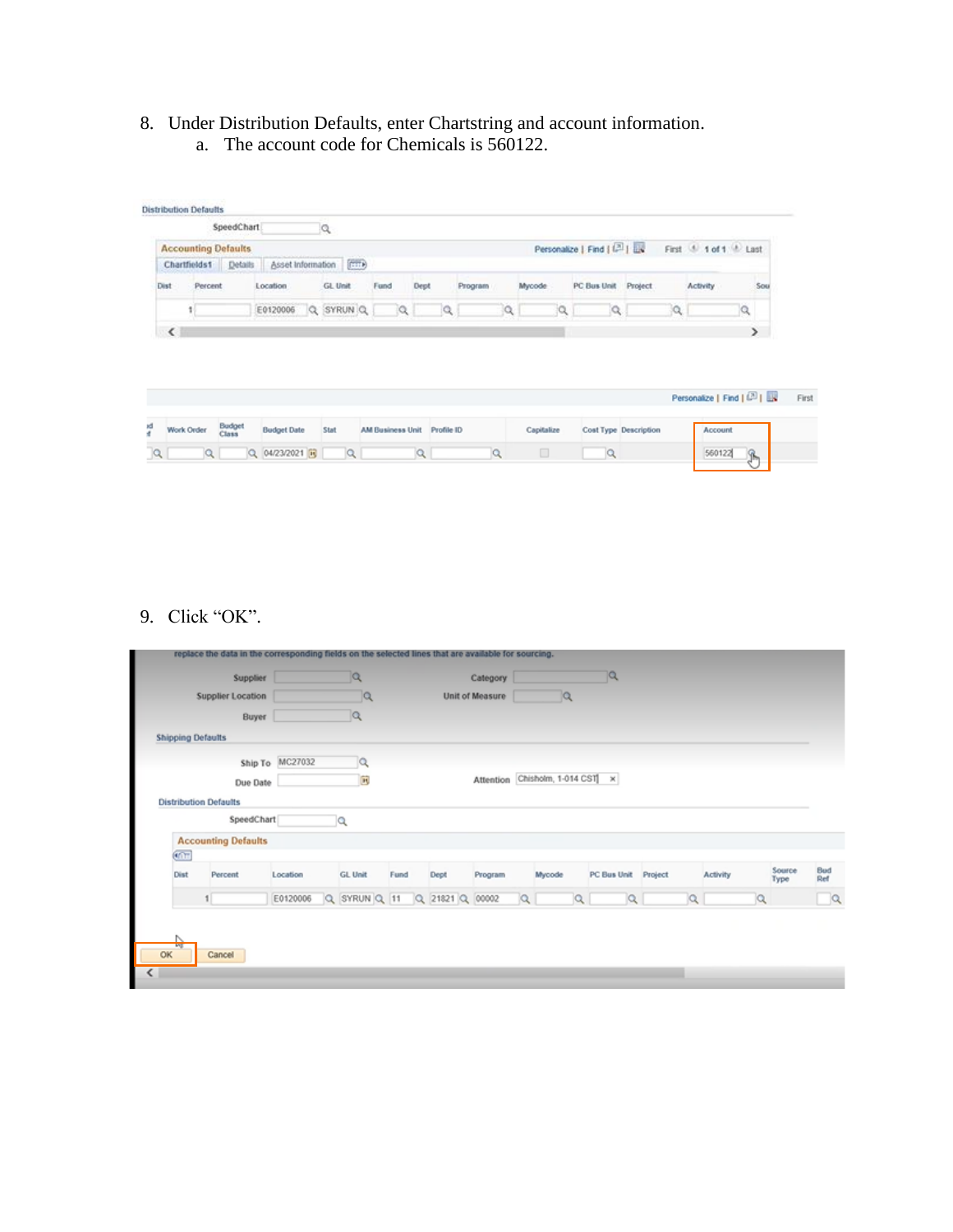8. Under Distribution Defaults, enter Chartstring and account information. a. The account code for Chemicals is 560122.

|                          |                            | SpeedChart             |                    | a |                         |                             |      |   |         |   |            |                             |                       |                          |           |
|--------------------------|----------------------------|------------------------|--------------------|---|-------------------------|-----------------------------|------|---|---------|---|------------|-----------------------------|-----------------------|--------------------------|-----------|
|                          | <b>Accounting Defaults</b> |                        |                    |   |                         |                             |      |   |         |   |            | Personalize   Find   (21) I |                       | First 4 1 of 1 4 Last    |           |
|                          | Chartfields1 Details       |                        |                    |   | Asset Information (FTT) |                             |      |   |         |   |            |                             |                       |                          |           |
| <b>Dist</b>              | Percent                    |                        | Location           |   | GL Unit                 | Fund                        | Dept |   | Program |   | Mycode     | PC Bus Unit                 | Project               | <b>Activity</b>          | Sou       |
|                          |                            |                        | E0120006 Q SYRUN Q |   |                         | Q                           |      | Q |         | a | a          | iQ.                         |                       | Q<br>a                   |           |
|                          |                            |                        |                    |   |                         |                             |      |   |         |   |            |                             |                       |                          |           |
| $\overline{\phantom{a}}$ |                            |                        |                    |   |                         |                             |      |   |         |   |            |                             |                       |                          | $\lambda$ |
|                          |                            |                        |                    |   |                         |                             |      |   |         |   |            |                             |                       | Personalize   Find   (2) |           |
| $\overline{a}$           | Work Order                 | <b>Budget</b><br>Class | <b>Budget Date</b> |   | Stat                    | AM Business Unit Profile ID |      |   |         |   | Capitalize |                             | Cost Type Description | Account                  |           |

## 9. Click "OK".

|                           | replace the data in the corresponding fields on the selected lines that are available for sourcing. |                 |    |                              |      |                 |      |          |    |                                 |   |                     |   |          |   |                |            |
|---------------------------|-----------------------------------------------------------------------------------------------------|-----------------|----|------------------------------|------|-----------------|------|----------|----|---------------------------------|---|---------------------|---|----------|---|----------------|------------|
|                           | Supplier                                                                                            |                 |    | Q                            |      |                 |      | Category |    |                                 |   | $ \mathsf{Q} $      |   |          |   |                |            |
| <b>Supplier Location</b>  |                                                                                                     |                 | 1a |                              |      | Unit of Measure |      |          | 1Q |                                 |   |                     |   |          |   |                |            |
|                           | Buyer                                                                                               |                 |    | lQ.                          |      |                 |      |          |    |                                 |   |                     |   |          |   |                |            |
| <b>Shipping Defaults</b>  |                                                                                                     |                 |    |                              |      |                 |      |          |    |                                 |   |                     |   |          |   |                |            |
|                           |                                                                                                     | Ship To MC27032 |    | Q                            |      |                 |      |          |    |                                 |   |                     |   |          |   |                |            |
|                           | Due Date                                                                                            |                 |    | $\mathbb{R}$                 |      |                 |      |          |    | Attention Chisholm, 1-014 CST x |   |                     |   |          |   |                |            |
|                           | <b>Distribution Defaults</b>                                                                        |                 |    |                              |      |                 |      |          |    |                                 |   |                     |   |          |   |                |            |
|                           | SpeedChart                                                                                          |                 |    | Q                            |      |                 |      |          |    |                                 |   |                     |   |          |   |                |            |
|                           | <b>Accounting Defaults</b>                                                                          |                 |    |                              |      |                 |      |          |    |                                 |   |                     |   |          |   |                |            |
| $\overline{\mathfrak{m}}$ |                                                                                                     |                 |    |                              |      |                 |      |          |    |                                 |   |                     |   |          |   |                |            |
| Dist                      | Percent                                                                                             | Location        |    | <b>GL Unit</b>               | Fund |                 | Dept | Program  |    | Mycode                          |   | PC Bus Unit Project |   | Activity |   | Source<br>Type | Bud<br>Ref |
|                           |                                                                                                     | E0120006        |    | Q SYRUN Q 11 Q 21821 Q 00002 |      |                 |      |          |    |                                 | a | a                   | a |          | Q |                | $\alpha$   |
|                           |                                                                                                     |                 |    |                              |      |                 |      |          |    |                                 |   |                     |   |          |   |                |            |
| <b>AND</b><br>OK          | Cancel                                                                                              |                 |    |                              |      |                 |      |          |    |                                 |   |                     |   |          |   |                |            |
|                           |                                                                                                     |                 |    |                              |      |                 |      |          |    |                                 |   |                     |   |          |   |                |            |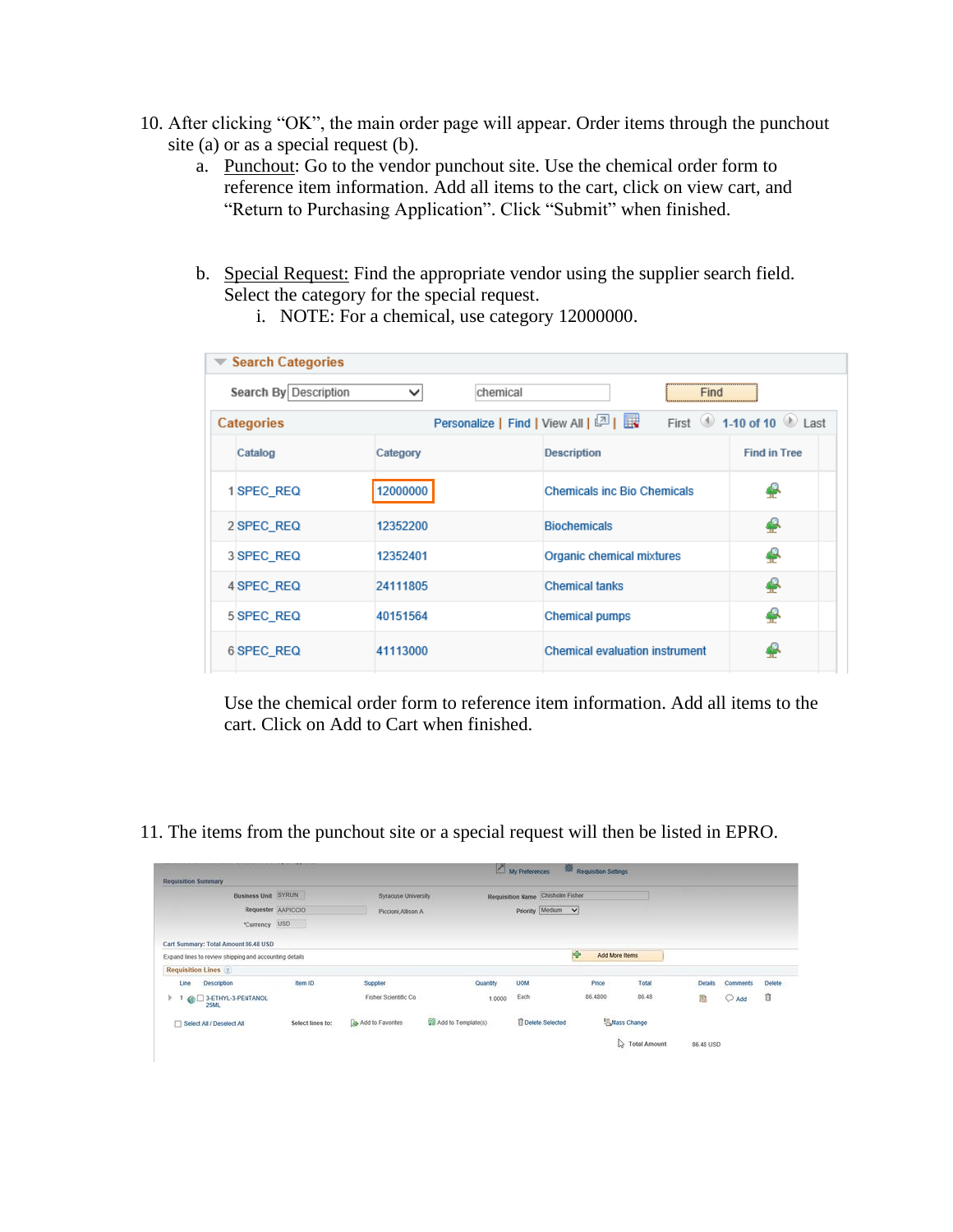- 10. After clicking "OK", the main order page will appear. Order items through the punchout site (a) or as a special request (b).
	- a. Punchout: Go to the vendor punchout site. Use the chemical order form to reference item information. Add all items to the cart, click on view cart, and "Return to Purchasing Application". Click "Submit" when finished.
	- b. Special Request: Find the appropriate vendor using the supplier search field. Select the category for the special request.
		- $\blacktriangledown$  Search Categories Search By Description  $\overline{\mathsf{v}}$ chemical Find Personalize | Find | View All | 2 | | **Categories** First  $\bigcirc$  1-10 of 10  $\bigcirc$  Last Catalog Category **Description Find in Tree** 1 SPEC\_REQ 12000000 **Chemicals inc Bio Chemicals** ₽ ♣ 2 SPEC REQ 12352200 **Biochemicals** 3 SPEC\_REQ ♣ 12352401 Organic chemical mixtures 4 4 SPEC\_REQ 24111805 **Chemical tanks** ♣ 5 SPEC\_REQ 40151564 **Chemical pumps** ₽ 6 SPEC\_REQ 41113000 Chemical evaluation instrument
- i. NOTE: For a chemical, use category 12000000.

Use the chemical order form to reference item information. Add all items to the cart. Click on Add to Cart when finished.

11. The items from the punchout site or a special request will then be listed in EPRO.

| <b>Requisition Summary</b>                             |                    |                       |                    | My Preferences                   | <b>SR Requisition Settings</b> |                     |                |          |               |
|--------------------------------------------------------|--------------------|-----------------------|--------------------|----------------------------------|--------------------------------|---------------------|----------------|----------|---------------|
| <b>Business Unit SYRUN</b>                             |                    | Syracuse University   |                    | Requisition Name Chisholm Fisher |                                |                     |                |          |               |
|                                                        | Requester AAPICCIO | Piccioni, Allison A   |                    | Priority Medium V                |                                |                     |                |          |               |
| *Currency USD                                          | - 1                |                       |                    |                                  |                                |                     |                |          |               |
| Cart Summary: Total Amount 86.48 USD                   |                    |                       |                    |                                  |                                |                     |                |          |               |
| Expand lines to review shipping and accounting details |                    |                       |                    |                                  | 段<br>Add More items            |                     |                |          |               |
| <b>Requisition Lines</b> (2)                           |                    |                       |                    |                                  |                                |                     |                |          |               |
| Description<br>Line                                    | item ID.           | Supplier              | Quantity           | <b>UCM</b>                       | Price                          | Total               | <b>Details</b> | Comments | <b>Delete</b> |
| @ 3-ETHYL-3-PENTANOL<br>×.<br><b>25ML</b>              |                    | Fisher Scientific Co. | 1,0000             | Each                             | 86,4800                        | 86.48               | 隐              | Add<br>O | û             |
| Select All / Deselect All                              | Select lines to:   | Add to Favorites      | Add to Template(s) | <b>TDelete Selected</b>          |                                | <b>EMass Change</b> |                |          |               |
|                                                        |                    |                       |                    |                                  |                                | <b>Total Amount</b> | 86.48 USD      |          |               |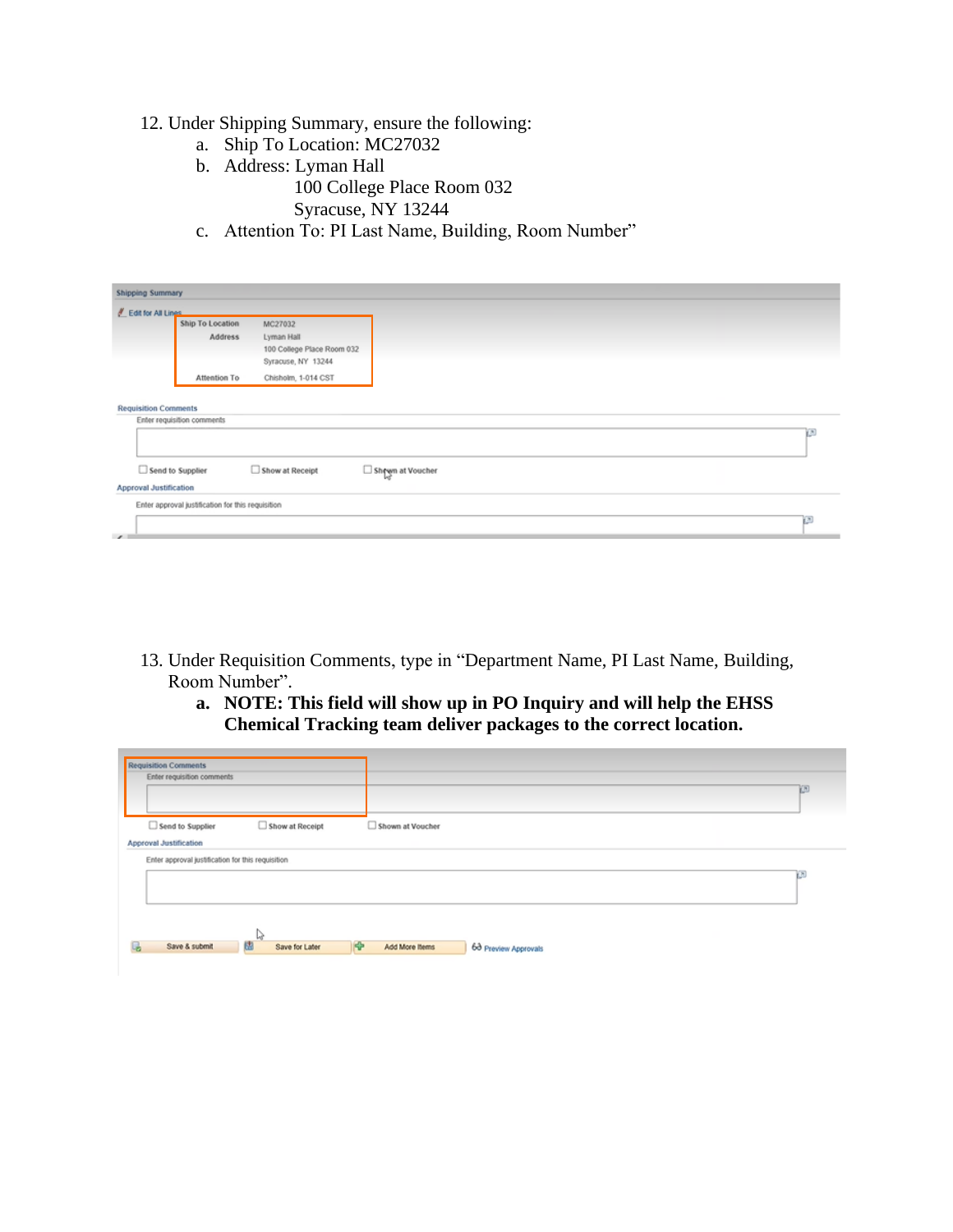## 12. Under Shipping Summary, ensure the following:

- a. Ship To Location: MC27032
- b. Address: Lyman Hall 100 College Place Room 032 Syracuse, NY 13244
- c. Attention To: PI Last Name, Building, Room Number"

| <b>Shipping Summary</b>                                |                                                   |                                                                           |                  |       |
|--------------------------------------------------------|---------------------------------------------------|---------------------------------------------------------------------------|------------------|-------|
| Edit for All Lines                                     |                                                   |                                                                           |                  |       |
|                                                        | Ship To Location<br>Address                       | MC27032<br>Lyman Hall<br>100 College Place Room 032<br>Syracuse, NY 13244 |                  |       |
|                                                        | Attention To                                      | Chisholm, 1-014 CST                                                       |                  |       |
| <b>Requisition Comments</b><br>$\Box$ Send to Supplier | Enter requisition comments                        | Show at Receipt                                                           | Shewn at Voucher | $\pi$ |
|                                                        |                                                   |                                                                           |                  |       |
| <b>Approval Justification</b>                          |                                                   |                                                                           |                  |       |
| $\overline{\phantom{0}}$                               | Enter approval justification for this requisition |                                                                           |                  | œ     |

- 13. Under Requisition Comments, type in "Department Name, PI Last Name, Building, Room Number".
	- **a. NOTE: This field will show up in PO Inquiry and will help the EHSS Chemical Tracking team deliver packages to the correct location.**

| <b>Requisition Comments</b>   | Enter requisition comments                        |                 |                                             |   |
|-------------------------------|---------------------------------------------------|-----------------|---------------------------------------------|---|
|                               | $\Box$ Send to Supplier                           | Show at Receipt | Shown at Voucher                            |   |
| <b>Approval Justification</b> |                                                   |                 |                                             |   |
|                               | Enter approval justification for this requisition |                 |                                             |   |
|                               |                                                   |                 |                                             | œ |
|                               |                                                   |                 |                                             |   |
|                               |                                                   | d               |                                             |   |
| ı.                            | 關<br>Save & submit                                | Save for Later  | ⊮<br>Add More Items<br>63 Preview Approvals |   |
|                               |                                                   |                 |                                             |   |